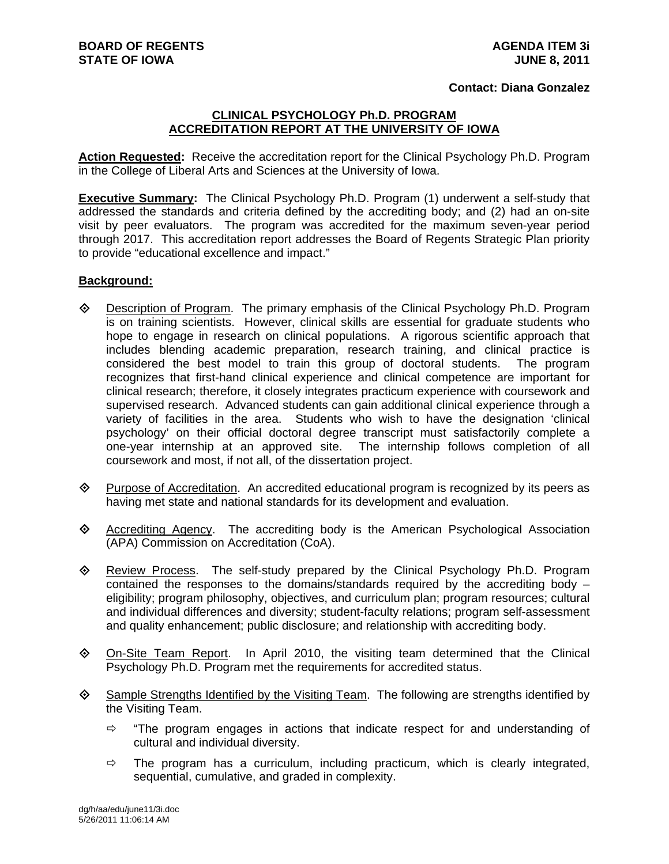## **Contact: Diana Gonzalez**

## **CLINICAL PSYCHOLOGY Ph.D. PROGRAM ACCREDITATION REPORT AT THE UNIVERSITY OF IOWA**

**Action Requested:** Receive the accreditation report for the Clinical Psychology Ph.D. Program in the College of Liberal Arts and Sciences at the University of Iowa.

**Executive Summary:** The Clinical Psychology Ph.D. Program (1) underwent a self-study that addressed the standards and criteria defined by the accrediting body; and (2) had an on-site visit by peer evaluators. The program was accredited for the maximum seven-year period through 2017. This accreditation report addresses the Board of Regents Strategic Plan priority to provide "educational excellence and impact."

## **Background:**

- $\Diamond$  Description of Program. The primary emphasis of the Clinical Psychology Ph.D. Program is on training scientists. However, clinical skills are essential for graduate students who hope to engage in research on clinical populations. A rigorous scientific approach that includes blending academic preparation, research training, and clinical practice is considered the best model to train this group of doctoral students. The program recognizes that first-hand clinical experience and clinical competence are important for clinical research; therefore, it closely integrates practicum experience with coursework and supervised research. Advanced students can gain additional clinical experience through a variety of facilities in the area. Students who wish to have the designation 'clinical psychology' on their official doctoral degree transcript must satisfactorily complete a one-year internship at an approved site. The internship follows completion of all coursework and most, if not all, of the dissertation project.
- $\Diamond$  Purpose of Accreditation. An accredited educational program is recognized by its peers as having met state and national standards for its development and evaluation.
- $\Diamond$  Accrediting Agency. The accrediting body is the American Psychological Association (APA) Commission on Accreditation (CoA).
- Review Process. The self-study prepared by the Clinical Psychology Ph.D. Program contained the responses to the domains/standards required by the accrediting body – eligibility; program philosophy, objectives, and curriculum plan; program resources; cultural and individual differences and diversity; student-faculty relations; program self-assessment and quality enhancement; public disclosure; and relationship with accrediting body.
- $\Diamond$  On-Site Team Report. In April 2010, the visiting team determined that the Clinical Psychology Ph.D. Program met the requirements for accredited status.
- Sample Strengths Identified by the Visiting Team. The following are strengths identified by the Visiting Team.
	- $\Rightarrow$  "The program engages in actions that indicate respect for and understanding of cultural and individual diversity.
	- $\Rightarrow$  The program has a curriculum, including practicum, which is clearly integrated, sequential, cumulative, and graded in complexity.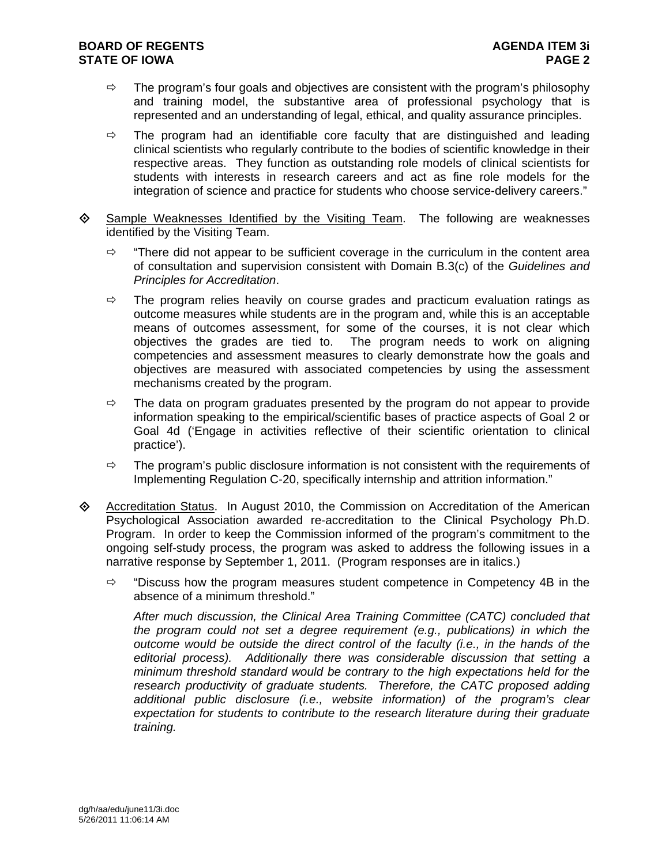- $\Rightarrow$  The program's four goals and objectives are consistent with the program's philosophy and training model, the substantive area of professional psychology that is represented and an understanding of legal, ethical, and quality assurance principles.
- $\Rightarrow$  The program had an identifiable core faculty that are distinguished and leading clinical scientists who regularly contribute to the bodies of scientific knowledge in their respective areas. They function as outstanding role models of clinical scientists for students with interests in research careers and act as fine role models for the integration of science and practice for students who choose service-delivery careers."
- ♦ Sample Weaknesses Identified by the Visiting Team. The following are weaknesses identified by the Visiting Team.
	- $\Rightarrow$  "There did not appear to be sufficient coverage in the curriculum in the content area of consultation and supervision consistent with Domain B.3(c) of the *Guidelines and Principles for Accreditation*.
	- $\Rightarrow$  The program relies heavily on course grades and practicum evaluation ratings as outcome measures while students are in the program and, while this is an acceptable means of outcomes assessment, for some of the courses, it is not clear which objectives the grades are tied to. The program needs to work on aligning competencies and assessment measures to clearly demonstrate how the goals and objectives are measured with associated competencies by using the assessment mechanisms created by the program.
	- $\Rightarrow$  The data on program graduates presented by the program do not appear to provide information speaking to the empirical/scientific bases of practice aspects of Goal 2 or Goal 4d ('Engage in activities reflective of their scientific orientation to clinical practice').
	- $\Rightarrow$  The program's public disclosure information is not consistent with the requirements of Implementing Regulation C-20, specifically internship and attrition information."
- Accreditation Status. In August 2010, the Commission on Accreditation of the American Psychological Association awarded re-accreditation to the Clinical Psychology Ph.D. Program. In order to keep the Commission informed of the program's commitment to the ongoing self-study process, the program was asked to address the following issues in a narrative response by September 1, 2011. (Program responses are in italics.)
	- $\Rightarrow$  "Discuss how the program measures student competence in Competency 4B in the absence of a minimum threshold."

*After much discussion, the Clinical Area Training Committee (CATC) concluded that the program could not set a degree requirement (e.g., publications) in which the outcome would be outside the direct control of the faculty (i.e., in the hands of the editorial process). Additionally there was considerable discussion that setting a minimum threshold standard would be contrary to the high expectations held for the research productivity of graduate students. Therefore, the CATC proposed adding additional public disclosure (i.e., website information) of the program's clear expectation for students to contribute to the research literature during their graduate training.*